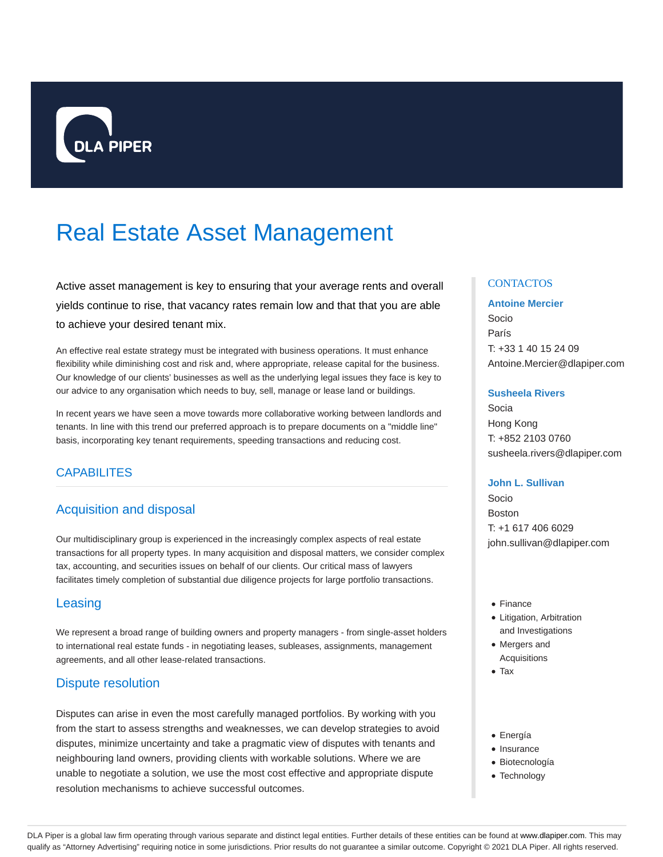

# Real Estate Asset Management

Active asset management is key to ensuring that your average rents and overall yields continue to rise, that vacancy rates remain low and that that you are able to achieve your desired tenant mix.

An effective real estate strategy must be integrated with business operations. It must enhance flexibility while diminishing cost and risk and, where appropriate, release capital for the business. Our knowledge of our clients' businesses as well as the underlying legal issues they face is key to our advice to any organisation which needs to buy, sell, manage or lease land or buildings.

In recent years we have seen a move towards more collaborative working between landlords and tenants. In line with this trend our preferred approach is to prepare documents on a "middle line" basis, incorporating key tenant requirements, speeding transactions and reducing cost.

# CAPABILITES

# Acquisition and disposal

Our multidisciplinary group is experienced in the increasingly complex aspects of real estate transactions for all property types. In many acquisition and disposal matters, we consider complex tax, accounting, and securities issues on behalf of our clients. Our critical mass of lawyers facilitates timely completion of substantial due diligence projects for large portfolio transactions.

## **Leasing**

We represent a broad range of building owners and property managers - from single-asset holders to international real estate funds - in negotiating leases, subleases, assignments, management agreements, and all other lease-related transactions.

## Dispute resolution

Disputes can arise in even the most carefully managed portfolios. By working with you from the start to assess strengths and weaknesses, we can develop strategies to avoid disputes, minimize uncertainty and take a pragmatic view of disputes with tenants and neighbouring land owners, providing clients with workable solutions. Where we are unable to negotiate a solution, we use the most cost effective and appropriate dispute resolution mechanisms to achieve successful outcomes.

## **CONTACTOS**

#### **Antoine Mercier**

Socio París T: +33 1 40 15 24 09 Antoine.Mercier@dlapiper.com

#### **Susheela Rivers**

Socia Hong Kong T: +852 2103 0760 susheela.rivers@dlapiper.com

### **John L. Sullivan**

Socio Boston T: +1 617 406 6029 john.sullivan@dlapiper.com

- Finance
- Litigation, Arbitration and Investigations
- Mergers and
- Acquisitions • Tax
- 
- Energía
- Insurance
- Biotecnología
- Technology

DLA Piper is a global law firm operating through various separate and distinct legal entities. Further details of these entities can be found at www.dlapiper.com. This may qualify as "Attorney Advertising" requiring notice in some jurisdictions. Prior results do not guarantee a similar outcome. Copyright @ 2021 DLA Piper. All rights reserved.